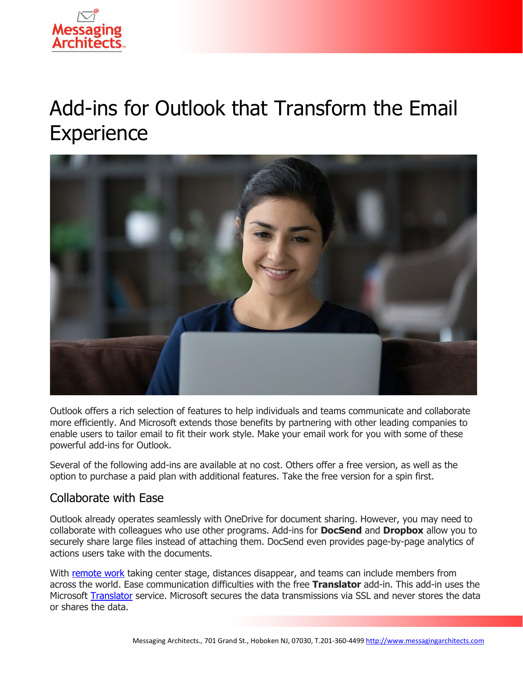

# Add-ins for Outlook that Transform the Email **Experience**



Outlook offers a rich selection of features to help individuals and teams communicate and collaborate more efficiently. And Microsoft extends those benefits by partnering with other leading companies to enable users to tailor email to fit their work style. Make your email work for you with some of these powerful add-ins for Outlook.

Several of the following add-ins are available at no cost. Others offer a free version, as well as the option to purchase a paid plan with additional features. Take the free version for a spin first.

### Collaborate with Ease

Outlook already operates seamlessly with OneDrive for document sharing. However, you may need to collaborate with colleagues who use other programs. Add-ins for **DocSend** and **Dropbox** allow you to securely share large files instead of attaching them. DocSend even provides page-by-page analytics of actions users take with the documents.

With [remote work](https://www.emazzanti.net/hybrid-workforce-strategies/) taking center stage, distances disappear, and teams can include members from across the world. Ease communication difficulties with the free **Translator** add-in. This add-in uses the Microsoft [Translator](https://messagingarchitects.com/translation-problem-in-compliance/) service. Microsoft secures the data transmissions via SSL and never stores the data or shares the data.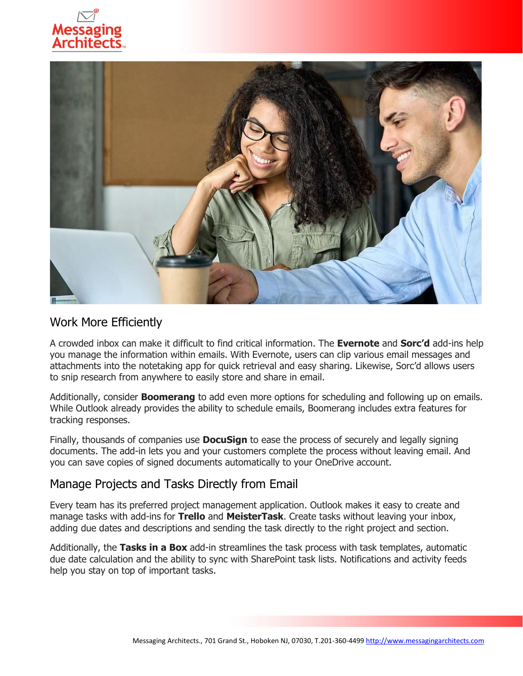



#### Work More Efficiently

A crowded inbox can make it difficult to find critical information. The **Evernote** and **Sorc'd** add-ins help you manage the information within emails. With Evernote, users can clip various email messages and attachments into the notetaking app for quick retrieval and easy sharing. Likewise, Sorc'd allows users to snip research from anywhere to easily store and share in email.

Additionally, consider **Boomerang** to add even more options for scheduling and following up on emails. While Outlook already provides the ability to schedule emails, Boomerang includes extra features for tracking responses.

Finally, thousands of companies use **DocuSign** to ease the process of securely and legally signing documents. The add-in lets you and your customers complete the process without leaving email. And you can save copies of signed documents automatically to your OneDrive account.

### Manage Projects and Tasks Directly from Email

Every team has its preferred project management application. Outlook makes it easy to create and manage tasks with add-ins for **Trello** and **MeisterTask**. Create tasks without leaving your inbox, adding due dates and descriptions and sending the task directly to the right project and section.

Additionally, the **Tasks in a Box** add-in streamlines the task process with task templates, automatic due date calculation and the ability to sync with SharePoint task lists. Notifications and activity feeds help you stay on top of important tasks.